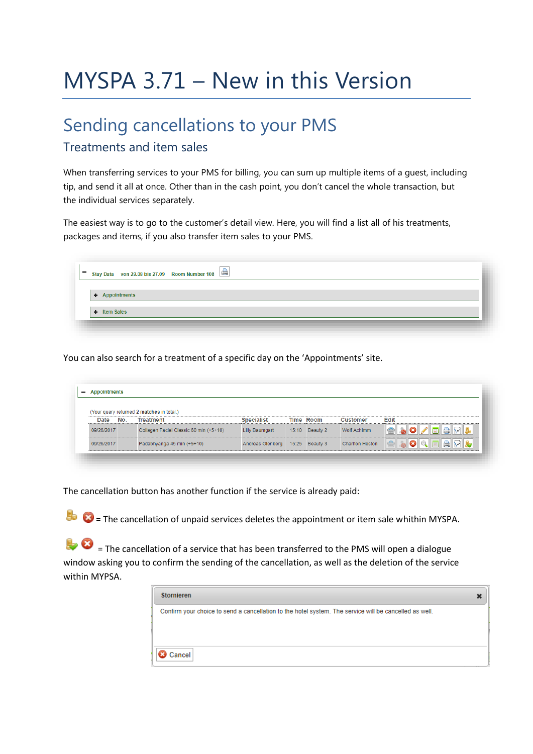# MYSPA 3.71 – New in this Version

### Sending cancellations to your PMS

#### Treatments and item sales

When transferring services to your PMS for billing, you can sum up multiple items of a guest, including tip, and send it all at once. Other than in the cash point, you don't cancel the whole transaction, but the individual services separately.

The easiest way is to go to the customer's detail view. Here, you will find a list all of his treatments, packages and items, if you also transfer item sales to your PMS.

| + Appointments |  |  |  |
|----------------|--|--|--|
|                |  |  |  |
| + Item Sales   |  |  |  |

You can also search for a treatment of a specific day on the 'Appointments' site.

|            |     | (Your query returned 2 matches in total.) |                                 |                |                        |                       |
|------------|-----|-------------------------------------------|---------------------------------|----------------|------------------------|-----------------------|
| Date       | No. | <b>Treatment</b>                          | <b>Specialist</b>               | Time Room      | Customer               | <b>Edit</b>           |
| 09/26/2017 |     | Collagen Facial Classic 60 min (+5+10)    | Lilly Baumgart                  | 15:10 Beauty 2 | Wolf Achimm            | <b>A</b> RL<br>同      |
| 09/26/2017 |     | Padabhyanga 45 min (+5+10)                | Andreas Olenberg 15:25 Beauty 3 |                | <b>Charlton Heston</b> | <b>BRI</b><br>IQIQ FI |

The cancellation button has another function if the service is already paid:

 $\bullet$   $\bullet$  = The cancellation of unpaid services deletes the appointment or item sale whithin MYSPA.

 $\bullet$  = The cancellation of a service that has been transferred to the PMS will open a dialogue window asking you to confirm the sending of the cancellation, as well as the deletion of the service within MYPSA.

| <b>Stornieren</b>                                                                                      |  |
|--------------------------------------------------------------------------------------------------------|--|
| Confirm your choice to send a cancellation to the hotel system. The service will be cancelled as well. |  |
|                                                                                                        |  |
|                                                                                                        |  |
| Cancel                                                                                                 |  |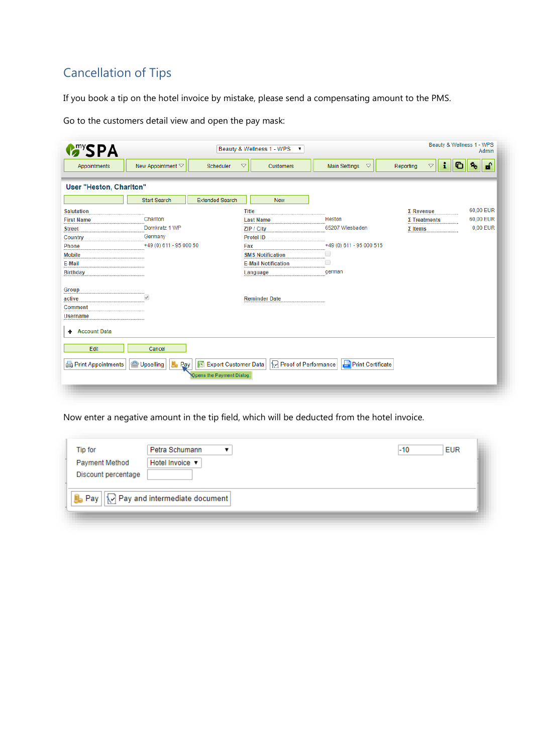#### Cancellation of Tips

If you book a tip on the hotel invoice by mistake, please send a compensating amount to the PMS.

Go to the customers detail view and open the pay mask:

|                                 |                                               | $\overline{\phantom{a}}$       |                                                                                |                                       | Beauty & Wellness 1 - WPS<br>Admin |
|---------------------------------|-----------------------------------------------|--------------------------------|--------------------------------------------------------------------------------|---------------------------------------|------------------------------------|
| New Appointment $\triangledown$ | Scheduler                                     | $\triangleleft$<br>Customers   | <b>Main Settings</b><br>$\triangledown$                                        | i.<br>$\bigtriangledown$<br>Reporting | சி<br>۹.                           |
|                                 |                                               |                                |                                                                                |                                       |                                    |
| <b>Start Search</b>             | <b>Extended Search</b>                        | <b>New</b>                     |                                                                                |                                       |                                    |
|                                 |                                               | <b>Title</b>                   |                                                                                | $\Sigma$ Revenue                      | 60,00 EUR                          |
| Charlton                        |                                               | <b>Last Name</b>               | Heston                                                                         | $\Sigma$ Treatments                   | 60,00 EUR                          |
| Dornkratz 1 WP                  |                                               | ZIP / City                     | 65207 Wiesbaden                                                                | $\Sigma$ Items                        | 0,00 EUR                           |
| Germany                         |                                               | <b>Protel ID</b>               |                                                                                |                                       |                                    |
|                                 |                                               | Fax                            | +49 (0) 611 - 95 000 515                                                       |                                       |                                    |
|                                 |                                               | <b>SMS Notification</b>        | o                                                                              |                                       |                                    |
|                                 |                                               | <b>E-Mail Notification</b>     | U                                                                              |                                       |                                    |
|                                 |                                               | Language                       | german                                                                         |                                       |                                    |
| $\mathscr{A}$                   |                                               | <b>Reminder Date</b>           |                                                                                |                                       |                                    |
|                                 |                                               |                                |                                                                                |                                       |                                    |
| Cancel<br>b.<br>Upselling       |                                               |                                |                                                                                |                                       |                                    |
|                                 | User "Heston, Charlton"<br>Print Appointments | +49 (0) 611 - 95 000 50<br>Pay | Beauty & Wellness 1 - WPS<br>Export Customer Data<br>Opens the Payment Dialog. | Proof of Performance                  | G<br><b>Print Certificate</b>      |

Now enter a negative amount in the tip field, which will be deducted from the hotel invoice.

| Tip for<br><b>Payment Method</b><br>Discount percentage | Petra Schumann<br>Hotel Invoice v         | $-10$ | <b>EUR</b> |
|---------------------------------------------------------|-------------------------------------------|-------|------------|
|                                                         | B Pay       Pay and intermediate document |       |            |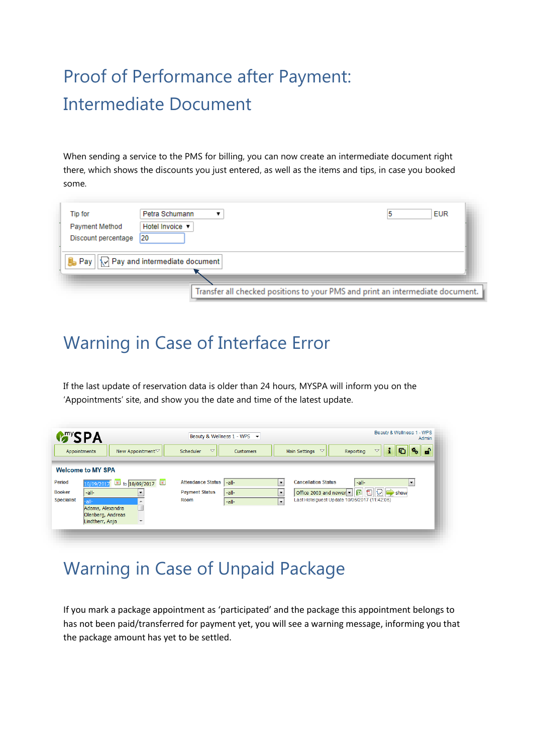## Proof of Performance after Payment: Intermediate Document

When sending a service to the PMS for billing, you can now create an intermediate document right there, which shows the discounts you just entered, as well as the items and tips, in case you booked some.

| Tip for                                      | Petra Schumann<br><b>EUR</b>                                                   |  |
|----------------------------------------------|--------------------------------------------------------------------------------|--|
| <b>Payment Method</b><br>Discount percentage | Hotel Invoice ▼<br>120                                                         |  |
|                                              | $\mathbf{B}_{\mathbf{0}}$ Pay $  \triangledown$ Pay and intermediate document  |  |
|                                              | Transfer all checked positions to your PMS and print an intermediate document. |  |

## Warning in Case of Interface Error

If the last update of reservation data is older than 24 hours, MYSPA will inform you on the 'Appointments' site, and show you the date and time of the latest update.

| <b>M</b> <sup>my</sup> SPA |                                                 | Beauty & Wellness 1 - WPS $\rightarrow$   | Beauty & Wellness 1 - WPS<br>Admin                                                          |
|----------------------------|-------------------------------------------------|-------------------------------------------|---------------------------------------------------------------------------------------------|
| Appointments               | New Appointment▽                                | $\triangledown$<br>Scheduler<br>Customers | சி<br>i<br>$\triangledown$<br>$\triangledown$<br>Main Settings<br>Reporting                 |
|                            | <b>Welcome to MY SPA</b>                        |                                           |                                                                                             |
| <b>Period</b>              | $\blacksquare$<br>to $10/09/2017$<br>10/09/2017 | <b>Attendance Status</b><br>-all-         | <b>Cancellation Status</b><br>$\overline{\phantom{a}}$<br>-all-<br>$\overline{\phantom{a}}$ |
| <b>Booker</b>              | -all-                                           | <b>Payment Status</b><br>-all-            | $\overline{\phantom{a}}$<br>Office 2003 and newer v<br>$\Rightarrow$ show                   |
| <b>Specialist</b>          | -all-                                           | Room<br>-all-                             | Last Hotelguest Update 10/06/2017 (11:42:06)<br>$\cdot$                                     |
|                            | Adams, Alexandra                                |                                           |                                                                                             |
|                            | Olenberg, Andreas                               |                                           |                                                                                             |
|                            | Lindtherr, Anja<br>$\overline{\phantom{a}}$     |                                           |                                                                                             |

### Warning in Case of Unpaid Package

If you mark a package appointment as 'participated' and the package this appointment belongs to has not been paid/transferred for payment yet, you will see a warning message, informing you that the package amount has yet to be settled.